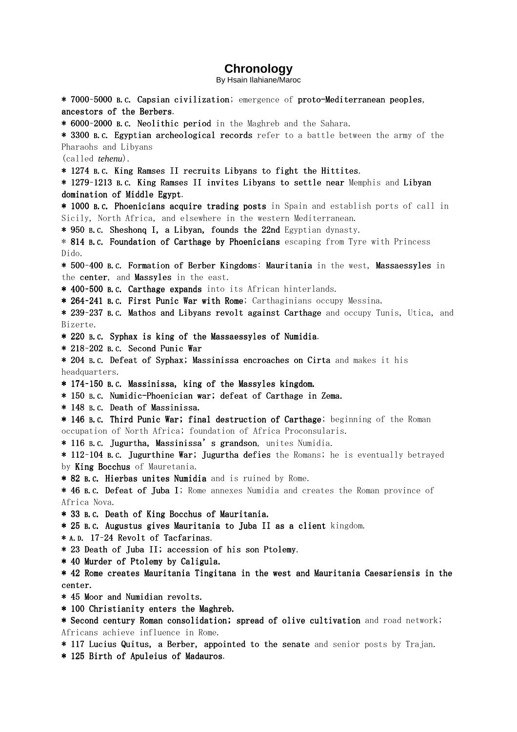## **Chronology**

By Hsain Ilahiane/Maroc

- \* 7000-5000 B.C. Capsian civilization; emergence of proto-Mediterranean peoples, ancestors of the Berbers.
- \* 6000-2000 B.C. Neolithic period in the Maghreb and the Sahara.

\* 3300 B.C. Egyptian archeological records refer to a battle between the army of the Pharaohs and Libyans

(called *tehenu*).

\* 1274 B.C. King Ramses II recruits Libyans to fight the Hittites.

\* 1279-1213 B.C. King Ramses II invites Libyans to settle near Memphis and Libyan domination of Middle Egypt.

\* 1000 B.C. Phoenicians acquire trading posts in Spain and establish ports of call in Sicily, North Africa, and elsewhere in the western Mediterranean.

\* 950 B.C. Sheshonq I, a Libyan, founds the 22nd Egyptian dynasty.

\* 814 B.C. Foundation of Carthage by Phoenicians escaping from Tyre with Princess Dido.

\* 500–400 B.C. Formation of Berber Kingdoms: Mauritania in the west, Massaessyles in the center, and Massyles in the east.

\* 400-500 B.C. Carthage expands into its African hinterlands.

\* 264-241 B.C. First Punic War with Rome; Carthaginians occupy Messina.

\* 239-237 B.C. Mathos and Libyans revolt against Carthage and occupy Tunis, Utica, and Bizerte.

- \* 220 B.C. Syphax is king of the Massaessyles of Numidia.
- $*$  218-202 B.C. Second Punic War
- \* 204 B.C. Defeat of Syphax; Massinissa encroaches on Cirta and makes it his headquarters.
- \* 174-150 B.C. Massinissa, king of the Massyles kingdom.
- \* 150 B.C. Numidic-Phoenician war; defeat of Carthage in Zema.
- \* 148 B.C. Death of Massinissa.

\* 146 B.C. Third Punic War; final destruction of Carthage; beginning of the Roman occupation of North Africa; foundation of Africa Proconsularis.

\* 116 B.C. Jugurtha, Massinissa's grandson, unites Numidia.

- \* 112-104 B.C. Jugurthine War; Jugurtha defies the Romans; he is eventually betrayed by King Bocchus of Mauretania.
- \* 82 B.C. Hierbas unites Numidia and is ruined by Rome.

\* 46 B.C. Defeat of Juba I; Rome annexes Numidia and creates the Roman province of Africa Nova.

- \* 33 B.C. Death of King Bocchus of Mauritania.
- \* 25 B.C. Augustus gives Mauritania to Juba II as a client kingdom.
- \* A.D. 17-24 Revolt of Tacfarinas.
- \* 23 Death of Juba II; accession of his son Ptolemy.
- \* 40 Murder of Ptolemy by Caligula. \* 40 Murder of Ptolemy by Caligula. Caligula.

\* 42 Rome creates Mauritania Tingitana in the west and Mauritania Caesariensis in the center.

- $*$  45 Moor and Numidian revolts.
- \* 100 Christianity enters the Maghreb. \* 100 Christianity enters the Maghreb.
- \* Second century Roman consolidation; spread of olive cultivation and road network; Africans achieve influence in Rome.
- \* 117 Lucius Quitus, a Berber, appointed to the senate and senior posts by Trajan.
- \* 125 Birth of Apuleius of Madauros.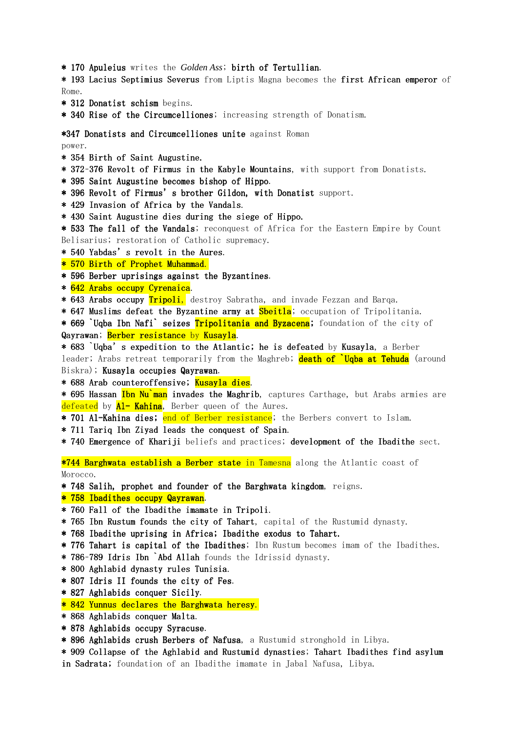\* 170 Apuleius writes the *Golden Ass*; birth of Tertullian.

\* 193 Lacius Septimius Severus from Liptis Magna becomes the first African emperor of Rome.

- $*$  312 Donatist schism begins.
- \* 340 Rise of the Circumcelliones; increasing strength of Donatism.

\*347 Donatists and Circumcelliones unite against Roman

power.

- \* 354 Birth of Saint Augustine.
- \* 372-376 Revolt of Firmus in the Kabyle Mountains, with support from Donatists.
- \* 395 Saint Augustine becomes bishop of Hippo.
- \* 396 Revolt of Firmus's brother Gildon, with Donatist support.
- \* 429 Invasion of Africa by the Vandals.
- \* 430 Saint Augustine dies during the siege of Hippo.
- \* 533 The fall of the Vandals; reconquest of Africa for the Eastern Empire by Count Belisarius; restoration of Catholic supremacy.
- \* 540 Yabdas's revolt in the Aures.
- \* 570 Birth of Prophet Muhammad.
- \* 596 Berber uprisings against the Byzantines.
- \* 642 Arabs occupy Cyrenaica.
- \* 643 Arabs occupy Tripoli, destroy Sabratha, and invade Fezzan and Barqa.
- \* 647 Muslims defeat the Byzantine army at Sbeitla; occupation of Tripolitania.

\* 669 `Uqba Ibn Nafi` seizes Tripolitania and Byzacena; foundation of the city of Qayrawan; Berber resistance by Kusayla.

\* 683 `Uqba's expedition to the Atlantic; he is defeated by Kusayla, a Berber leader; Arabs retreat temporarily from the Maghreb; death of `Uqba at Tehuda (around Biskra); Kusayla occupies Qayrawan.

\* 688 Arab counteroffensive; Kusayla dies.

\* 695 Hassan Ibn Nu`man invades the Maghrib, captures Carthage, but Arabs armies are defeated by Al- Kahina, Berber queen of the Aures.

- \* 701 Al-Kahina dies; end of Berber resistance; the Berbers convert to Islam.
- \* 711 Tariq Ibn Ziyad leads the conquest of Spain.
- \* 740 Emergence of Khariji beliefs and practices; development of the Ibadithe sect.

\*744 Barghwata establish a Berber state in Tamesna along the Atlantic coast of Morocco.

- \* 748 Salih, prophet and founder of the Barghwata kingdom, reigns.
- \* 758 Ibadithes occupy Qayrawan.
- \* 760 Fall of the Ibadithe imamate in Tripoli.
- \* 765 Ibn Rustum founds the city of Tahart, capital of the Rustumid dynasty.
- \* 768 Ibadithe uprising in Africa; Ibadithe exodus to Tahart.
- \* 776 Tahart is capital of the Ibadithes; Ibn Rustum becomes imam of the Ibadithes.
- \* 786-789 Idris Ibn `Abd Allah founds the Idrissid dynasty.
- \* 800 Aghlabid dynasty rules Tunisia.
- \* 807 Idris II founds the city of Fes.
- \* 827 Aghlabids conquer Sicily.
- \* 842 Yunnus declares the Barghwata heresy.
- \* 868 Aghlabids conquer Malta.
- \* 878 Aghlabids occupy Syracuse.
- \* 896 Aghlabids crush Berbers of Nafusa, a Rustumid stronghold in Libya.
- \* 909 Collapse of the Aghlabid and Rustumid dynasties; Tahart Ibadithes find asylum in Sadrata; foundation of an Ibadithe imamate in Jabal Nafusa, Libya.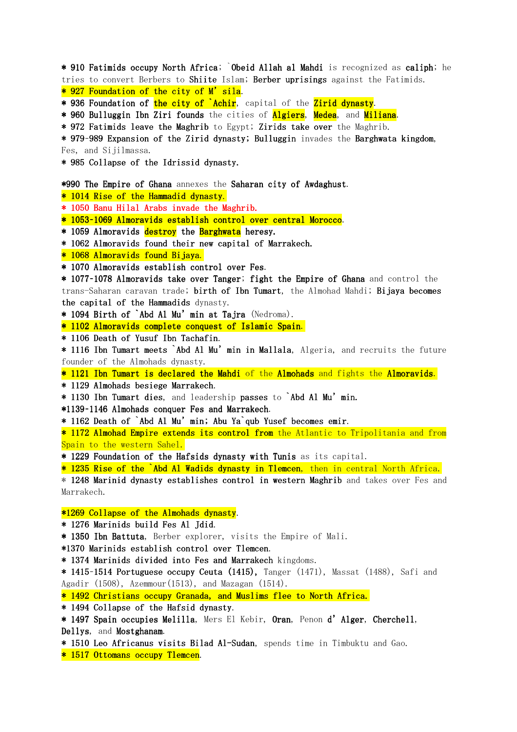\* 910 Fatimids occupy North Africa; Obeid Allah al Mahdi is recognized as caliph; he tries to convert Berbers to Shiite Islam; Berber uprisings against the Fatimids.

\* 927 Foundation of the city of M'sila.

\* 936 Foundation of the city of `Achir, capital of the Zirid dynasty.

\* 960 Bulluggin Ibn Ziri founds the cities of Algiers, Medea, and Miliana.

\* 972 Fatimids leave the Maghrib to Egypt; Zirids take over the Maghrib.

\* 979-989 Expansion of the Zirid dynasty; Bulluggin invades the Barghwata kingdom, Fes, and Sijilmassa.

\* 985 Collapse of the Idrissid dynasty. \* 985 dynasty.

\*990 The Empire of Ghana annexes the Saharan city of Awdaghust.

\* 1014 Rise of the Hammadid dynasty.

- \* 1050 Banu Hilal Arabs invade the Maghrib.
- \* 1053–1069 Almoravids establish control over central Morocco.
- \* 1059 Almoravids destroy the Barghwata heresy.
- \* 1062 Almoravids found their new capital of Marrakech.

\* 1068 Almoravids found Bijaya.

\* 1070 Almoravids establish control over Fes.

\* 1077-1078 Almoravids take over Tanger; fight the Empire of Ghana and control the trans-Saharan caravan trade; birth of Ibn Tumart, the Almohad Mahdi; Bijaya becomes the capital of the Hammadids dynasty.

 $*$  1094 Birth of  $\hat{A}$ bd Al Mu'min at Tajra (Nedroma).

\* 1102 Almoravids complete conquest of Islamic Spain.

\* 1106 Death of Yusuf Ibn Tachafin.

\* 1116 Ibn Tumart meets `Abd Al Mu' min in Mallala, Algeria, and recruits the future founder of the Almohads dynasty.

\* 1121 Ibn Tumart is declared the Mahdi of the Almohads and fights the Almoravids.

\* 1129 Almohads besiege Marrakech.

 $*$  1130 Ibn Tumart dies, and leadership passes to `Abd Al Mu'min.

\*1139-1146 Almohads conquer Fes and Marrakech.

\* 1162 Death of `Abd Al Mu' min; Abu Ya`qub Yusef becomes emir.

\* 1172 Almohad Empire extends its control from the Atlantic to Tripolitania and from Spain to the western Sahel.

\* 1229 Foundation of the Hafsids dynasty with Tunis as its capital.

\* 1235 Rise of the `Abd Al Wadids dynasty in Tlemcen, then in central North Africa.

\* 1248 Marinid dynasty establishes control in western Maghrib and takes over Fes and Marrakech.

 $*1269$  Collapse of the Almohads dynasty.

\* 1276 Marinids build Fes Al Jdid.

\* 1350 Ibn Battuta, Berber explorer, visits the Empire of Mali.

\*1370 Marinids establish control over Tlemcen.

\* 1374 Marinids divided into Fes and Marrakech kingdoms.

\* 1415-1514 Portuguese occupy Ceuta (1415), Tanger (1471), Massat (1488), Safi and Agadir (1508), Azemmour(1513), and Mazagan (1514).

\* 1492 Christians occupy Granada, and Muslims flee to North Africa.

\* 1494 Collapse of the Hafsid dynasty.

\* 1497 Spain occupies Melilla, Mers El Kebir, Oran, Penon d'Alger, Cherchell, Dellys, and Mostghanam.

\* 1510 Leo Africanus visits Bilad Al-Sudan, spends time in Timbuktu and Gao.

\* 1517 Ottomans occupy Tlemcen.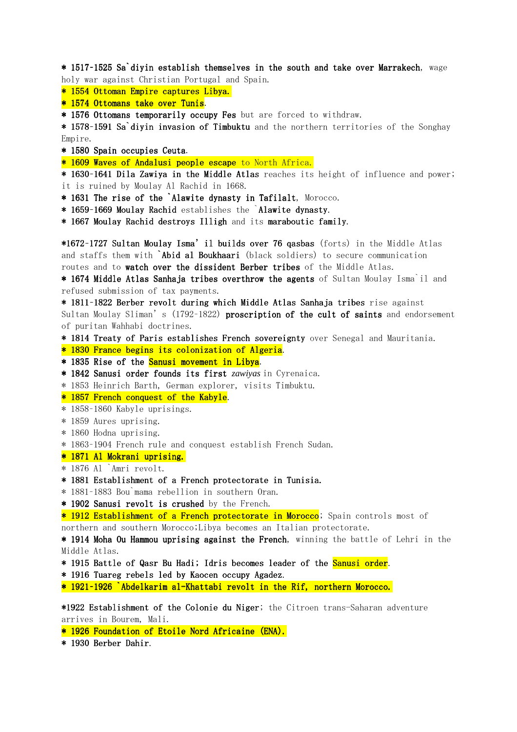\* 1517–1525 Sa`diyin establish themselves in the south and take over Marrakech, wage holy war against Christian Portugal and Spain.

\* 1554 Ottoman Empire captures Libya.

\* 1574 Ottomans take over Tunis.

\* 1576 Ottomans temporarily occupy Fes but are forced to withdraw.

\* 1578–1591 Sa`diyin invasion of Timbuktu and the northern territories of the Songhay Empire.

\* 1580 Spain occupies Ceuta \* 1580 Ceuta.

\* 1609 Waves of Andalusi people escape to North Africa.

\* 1630-1641 Dila Zawiya in the Middle Atlas reaches its height of influence and power; it is ruined by Moulay Al Rachid in 1668.

- \* 1631 The rise of the `Alawite dynasty in Tafilalt, Morocco.
- \* 1659-1669 Moulay Rachid establishes the `Alawite dynasty.

\* 1667 Moulay Rachid destroys Illigh and its maraboutic family.

\*1672-1727 Sultan Moulay Isma' il builds over 76 qasbas (forts) in the Middle Atlas and staffs them with `Abid al Boukhaari (black soldiers) to secure communication routes and to watch over the dissident Berber tribes of the Middle Atlas.

\* 1674 Middle Atlas Sanhaja tribes overthrow the agents of Sultan Moulay Isma il and refused submission of tax payments.

\* 1811-1822 Berber revolt during which Middle Atlas Sanhaja tribes rise against Sultan Moulay Sliman's  $(1792-1822)$  proscription of the cult of saints and endorsement of puritan Wahhabi doctrines.

\* 1814 Treaty of Paris establishes French sovereignty over Senegal and Mauritania.

\* 1830 France begins its colonization of Algeria.

\* 1835 Rise of the Sanusi movement in Libya.

\* 1842 Sanusi order founds its first *zawiyas* in Cyrenaica.

\* 1853 Heinrich Barth, German explorer, visits Timbuktu.

\* 1857 French conquest of the Kabyle.

\* 1858–1860 Kabyle uprisings.

\* 1859 Aures uprising.

\* 1860 Hodna uprising.

\* 1863–1904 French rule and conquest establish French Sudan.

\* 1871 Al Mokrani uprising.

\* 1876 Al `Amri revolt.

\* 1881 Establishment of a French protectorate in Tunisia.

\* 1881–1883 Bou`mama rebellion in southern Oran.

\* 1902 Sanusi revolt is crushed by the French.

\* 1912 Establishment of a French protectorate in Morocco; Spain controls most of northern and southern Morocco;Libya becomes an Italian protectorate.

\* 1914 Moha Ou Hammou uprising against the French, winning the battle of Lehri in the Middle Atlas.

\* 1915 Battle of Qasr Bu Hadi; Idris becomes leader of the Sanusi order.

\* 1916 Tuareg rebels led by Kaocen occupy Agadez.

\* 1921-1926 `Abdelkarim al-Khattabi revolt in the Rif, northern Morocco.

\*1922 Establishment of the Colonie du Niger; the Citroen trans-Saharan adventure arrives in Bourem, Mali.

\* 1926 Foundation of Etoile Nord Africaine (ENA).

\* 1930 Berber Dahir.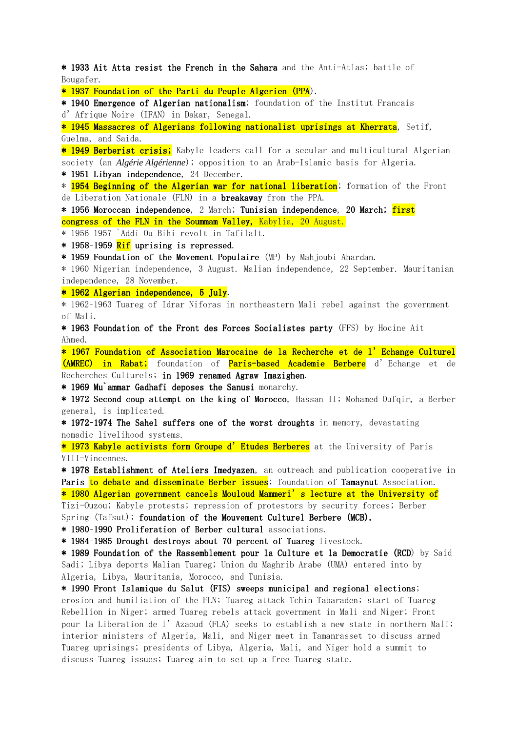\* 1933 Ait Atta resist the French in the Sahara and the Anti-Atlas; battle of Bougafer.

\* 1937 Foundation of the Parti du Peuple Algerien (PPA).

\* 1940 Emergence of Algerian nationalism; foundation of the Institut Francais d'Afrique Noire (IFAN) in Dakar, Senegal.

\* 1945 Massacres of Algerians following nationalist uprisings at Kherrata, Setif, Guelma, and Saida.

\* 1949 Berberist crisis; Kabyle leaders call for a secular and multicultural Algerian society (an *Algérie Algérienne*); opposition to an Arab-Islamic basis for Algeria.

 $*$  1951 Libyan independence, 24 December.

\* 1954 Beginning of the Algerian war for national liberation; formation of the Front de Liberation Nationale (FLN) in a **breakaway** from the PPA.

\* 1956 Moroccan independence, 2 March; Tunisian independence, 20 March; first congress of the FLN in the Soummam Valley, Kabylia, 20 August.

\* 1956–1957 `Addi Ou Bihi revolt in Tafilalt.

 $*$  1958–1959 Rif uprising is repressed.

\* 1959 Foundation of the Movement Populaire (MP) by Mahjoubi Ahardan.

\* 1960 Nigerian independence, 3 August. Malian independence, 22 September. Mauritanian independence, 28 November.

\* 1962 Algerian independence, 5 July.

\* 1962–1963 Tuareg of Idrar Niforas in northeastern Mali rebel against the government of Mali.

\* 1963 Foundation of the Front des Forces Socialistes party (FFS) by Hocine Ait Ahmed.

\* 1967 Foundation of Association Marocaine de la Recherche et de l'Echange Culturel (AMREC) in Rabat; foundation of Paris-based Academie Berbere d'Echange et de Recherches Culturels; in 1969 renamed Agraw Imazighen.

\* 1969 Mu<sup>s</sup> ammar Gadhafi deposes the Sanusi monarchy.

\* 1972 Second coup attempt on the king of Morocco, Hassan II; Mohamed Oufqir, a Berber general, is implicated.

\* 1972-1974 The Sahel suffers one of the worst droughts in memory, devastating nomadic livelihood systems.

\* 1973 Kabyle activists form Groupe d' Etudes Berberes at the University of Paris VIII-Vincennes.

\* 1978 Establishment of Ateliers Imedyazen, an outreach and publication cooperative in Paris to debate and disseminate Berber issues; foundation of Tamaynut Association.

\* 1980 Algerian government cancels Mouloud Mammeri's lecture at the University of

Tizi-Ouzou; Kabyle protests; repression of protestors by security forces; Berber

Spring (Tafsut); foundation of the Mouvement Culturel Berbere (MCB).

\* 1980-1990 Proliferation of Berber cultural associations.

\* 1984-1985 Drought destroys about 70 percent of Tuareg livestock.

\* 1989 Foundation of the Rassemblement pour la Culture et la Democratie (RCD) by Said Sadi; Libya deports Malian Tuareg; Union du Maghrib Arabe (UMA) entered into by Algeria, Libya, Mauritania, Morocco, and Tunisia.

\* 1990 Front Islamique du Salut (FIS) sweeps municipal and regional elections; erosion and humiliation of the FLN; Tuareg attack Tchin Tabaraden; start of Tuareg Rebellion in Niger; armed Tuareg rebels attack government in Mali and Niger; Front pour la Liberation de l'Azaoud (FLA) seeks to establish a new state in northern Mali; interior ministers of Algeria, Mali, and Niger meet in Tamanrasset to discuss armed Tuareg uprisings; presidents of Libya, Algeria, Mali, and Niger hold a summit to discuss Tuareg issues; Tuareg aim to set up a free Tuareg state.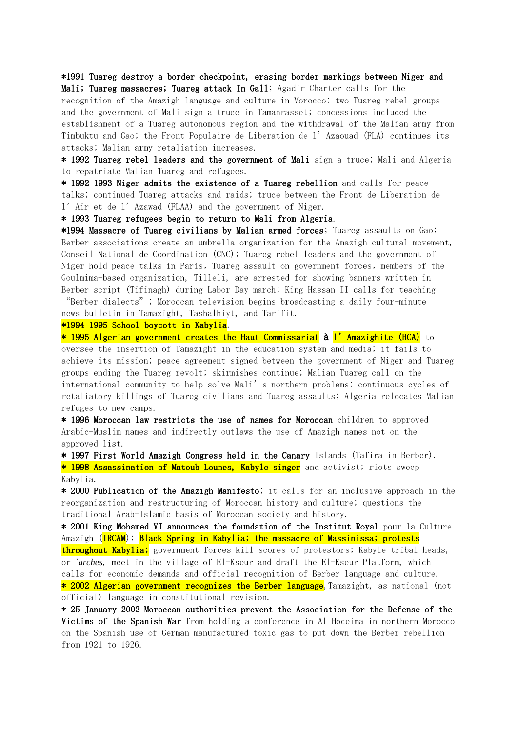\*1991 Tuareg destroy a border checkpoint, erasing border markings between Niger and Mali; Tuareg massacres; Tuareg attack In Gall; Agadir Charter calls for the recognition of the Amazigh language and culture in Morocco; two Tuareg rebel groups and the government of Mali sign a truce in Tamanrasset; concessions included the establishment of a Tuareg autonomous region and the withdrawal of the Malian army from Timbuktu and Gao; the Front Populaire de Liberation de l'Azaouad (FLA) continues its attacks; Malian army retaliation increases.

\* 1992 Tuareg rebel leaders and the government of Mali sign a truce; Mali and Algeria to repatriate Malian Tuareg and refugees.

\* 1992-1993 Niger admits the existence of a Tuareg rebellion and calls for peace talks; continued Tuareg attacks and raids; truce between the Front de Liberation de l'Air et de l'Azawad (FLAA) and the government of Niger.

\* 1993 Tuareg refugees begin to return to Mali from Algeria.

\*1994 Massacre of Tuareg civilians by Malian armed forces; Tuareg assaults on Gao; Berber associations create an umbrella organization for the Amazigh cultural movement, Conseil National de Coordination (CNC); Tuareg rebel leaders and the government of Niger hold peace talks in Paris; Tuareg assault on government forces; members of the Goulmima-based organization, Tilleli, are arrested for showing banners written in Berber script (Tifinagh) during Labor Day march; King Hassan II calls for teaching

"Berber dialects"; Moroccan television begins broadcasting a daily four-minute news bulletin in Tamazight, Tashalhiyt, and Tarifit.

\*1994-1995 School boycott in Kabylia.

 $*$  1995 Algerian government creates the Haut Commissariat à l'Amazighite (HCA) to oversee the insertion of Tamazight in the education system and media; it fails to achieve its mission; peace agreement signed between the government of Niger and Tuareg groups ending the Tuareg revolt; skirmishes continue; Malian Tuareg call on the international community to help solve Mali's northern problems; continuous cycles of retaliatory killings of Tuareg civilians and Tuareg assaults; Algeria relocates Malian refuges to new camps.

\* 1996 Moroccan law restricts the use of names for Moroccan children to approved Arabic-Muslim names and indirectly outlaws the use of Amazigh names not on the approved list.

\* 1997 First World Amazigh Congress held in the Canary Islands (Tafira in Berber). \* 1998 Assassination of Matoub Lounes, Kabyle singer and activist; riots sweep Kabylia.

\* 2000 Publication of the Amazigh Manifesto; it calls for an inclusive approach in the reorganization and restructuring of Moroccan history and culture; questions the traditional Arab-Islamic basis of Moroccan society and history.

\* 2001 King Mohamed VI announces the foundation of the Institut Royal pour la Culture Amazigh (IRCAM); Black Spring in Kabylia; the massacre of Massinissa; protests

throughout Kabylia; government forces kill scores of protestors; Kabyle tribal heads, or *`arches*, meet in the village of El-Kseur and draft the El-Kseur Platform, which calls for economic demands and official recognition of Berber language and culture.  $*$  2002 Algerian government recognizes the Berber language.Tamazight, as national (not official) language in constitutional revision.

\* 25 January 2002 Moroccan authorities prevent the Association for the Defense of the Victims of the Spanish War from holding a conference in Al Hoceima in northern Morocco on the Spanish use of German manufactured toxic gas to put down the Berber rebellion from 1921 to 1926.